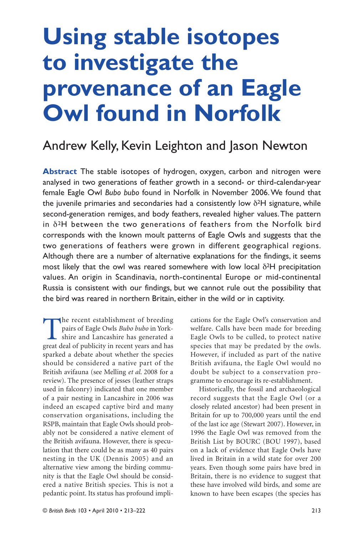# **Using stable isotopes to investigate the provenance of an Eagle Owl found in Norfolk**

# Andrew Kelly, Kevin Leighton and Jason Newton

**Abstract** The stable isotopes of hydrogen, oxygen, carbon and nitrogen were analysed in two generations of feather growth in a second- or third-calendar-year female Eagle Owl *Bubo bubo* found in Norfolk in November 2006. We found that the juvenile primaries and secondaries had a consistently low  $\delta^2 H$  signature, while second-generation remiges, and body feathers, revealed higher values. The pattern in  $\delta^2$ H between the two generations of feathers from the Norfolk bird corresponds with the known moult patterns of Eagle Owls and suggests that the two generations of feathers were grown in different geographical regions. Although there are a number of alternative explanations for the findings, it seems most likely that the owl was reared somewhere with low local  $\delta^2$ H precipitation values. An origin in Scandinavia, north-continental Europe or mid-continental Russia is consistent with our findings, but we cannot rule out the possibility that the bird was reared in northern Britain, either in the wild or in captivity.

The recent establishment of breeding pairs of Eagle Owls *Bubo bubo* in Yorkshire and Lancashire has generated a great deal of publicity in recent years and has sparked a debate about whether the species should be considered a native part of the British avifauna (see Melling *et al*. 2008 for a review). The presence of jesses (leather straps used in falconry) indicated that one member of a pair nesting in Lancashire in 2006 was indeed an escaped captive bird and many conservation organisations, including the RSPB, maintain that Eagle Owls should probably not be considered a native element of the British avifauna. However, there is speculation that there could be as many as 40 pairs nesting in the UK (Dennis 2005) and an alternative view among the birding community is that the Eagle Owl should be considered a native British species. This is not a pedantic point. Its status has profound impli-

cations for the Eagle Owl's conservation and welfare. Calls have been made for breeding Eagle Owls to be culled, to protect native species that may be predated by the owls. However, if included as part of the native British avifauna, the Eagle Owl would no doubt be subject to a conservation programme to encourage its re-establishment.

Historically, the fossil and archaeological record suggests that the Eagle Owl (or a closely related ancestor) had been present in Britain for up to 700,000 years until the end of the last ice age (Stewart 2007). However, in 1996 the Eagle Owl was removed from the British List by BOURC (BOU 1997), based on a lack of evidence that Eagle Owls have lived in Britain in a wild state for over 200 years. Even though some pairs have bred in Britain, there is no evidence to suggest that these have involved wild birds, and some are known to have been escapes (the species has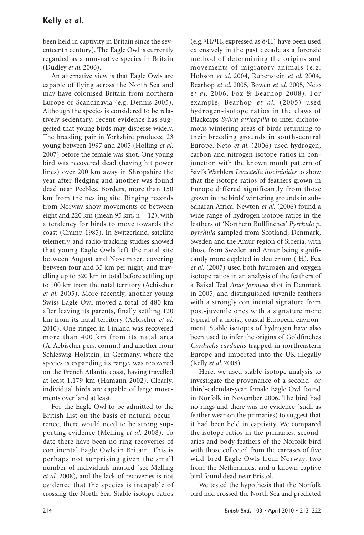been held in captivity in Britain since the seventeenth century). The Eagle Owl is currently regarded as a non-native species in Britain (Dudley *et al*. 2006).

An alternative view is that Eagle Owls are capable of flying across the North Sea and may have colonised Britain from northern Europe or Scandinavia (e.g. Dennis 2005). Although the species is considered to be relatively sedentary, recent evidence has suggested that young birds may disperse widely. The breeding pair in Yorkshire produced 23 young between 1997 and 2005 (Holling *et al*. 2007) before the female was shot. One young bird was recovered dead (having hit power lines) over 200 km away in Shropshire the year after fledging and another was found dead near Peebles, Borders, more than 150 km from the nesting site. Ringing records from Norway show movements of between eight and 220 km (mean 95 km,  $n = 12$ ), with a tendency for birds to move towards the coast (Cramp 1985). In Switzerland, satellite telemetry and radio-tracking studies showed that young Eagle Owls left the natal site between August and November, covering between four and 35 km per night, and travelling up to 320 km in total before settling up to 100 km from the natal territory (Aebischer *et al*. 2005). More recently, another young Swiss Eagle Owl moved a total of 480 km after leaving its parents, finally settling 120 km from its natal territory (Aebischer *et al*. 2010). One ringed in Finland was recovered more than 400 km from its natal area (A. Aebischer pers. comm.) and another from Schleswig-Holstein, in Germany, where the species is expanding its range, was recovered on the French Atlantic coast, having travelled at least 1,179 km (Hamann 2002). Clearly, individual birds are capable of large movements over land at least.

For the Eagle Owl to be admitted to the British List on the basis of natural occurrence, there would need to be strong supporting evidence (Melling *et al*. 2008). To date there have been no ring-recoveries of continental Eagle Owls in Britain. This is perhaps not surprising given the small number of individuals marked (see Melling *et al.* 2008), and the lack of recoveries is not evidence that the species is incapable of crossing the North Sea. Stable-isotope ratios

(e.g. <sup>2</sup>H/<sup>1</sup>H, expressed as  $\delta^2$ H) have been used extensively in the past decade as a forensic method of determining the origins and movements of migratory animals (e.g. Hobson *et al*. 2004, Rubenstein *et al*. 2004, Bearhop *et al*. 2005, Bowen *et al*. 2005, Neto e*t al*. 2006, Fox & Bearhop 2008). For example, Bearhop *et al*. (2005) used hydrogen-isotope ratios in the claws of Blackcaps *Sylvia atricapilla* to infer dichotomous wintering areas of birds returning to their breeding grounds in south-central Europe. Neto *et al*. (2006) used hydrogen, carbon and nitrogen isotope ratios in conjunction with the known moult pattern of Savi's Warblers *Locustella luscinioides* to show that the isotope ratios of feathers grown in Europe differed significantly from those grown in the birds' wintering grounds in sub-Saharan Africa. Newton *et al*. (2006) found a wide range of hydrogen isotope ratios in the feathers of 'Northern Bullfinches' *Pyrrhula p. pyrrhula* sampled from Scotland, Denmark, Sweden and the Amur region of Siberia, with those from Sweden and Amur being significantly more depleted in deuterium (2H). Fox *et al*. (2007) used both hydrogen and oxygen isotope ratios in an analysis of the feathers of a Baikal Teal *Anas formosa* shot in Denmark in 2005, and distinguished juvenile feathers with a strongly continental signature from post-juvenile ones with a signature more typical of a moist, coastal European environment. Stable isotopes of hydrogen have also been used to infer the origins of Goldfinches *Carduelis carduelis* trapped in northeastern Europe and imported into the UK illegally (Kelly *et al*. 2008).

Here, we used stable-isotope analysis to investigate the provenance of a second- or third-calendar-year female Eagle Owl found in Norfolk in November 2006. The bird had no rings and there was no evidence (such as feather wear on the primaries) to suggest that it had been held in captivity. We compared the isotope ratios in the primaries, secondaries and body feathers of the Norfolk bird with those collected from the carcases of five wild-bred Eagle Owls from Norway, two from the Netherlands, and a known captive bird found dead near Bristol.

We tested the hypothesis that the Norfolk bird had crossed the North Sea and predicted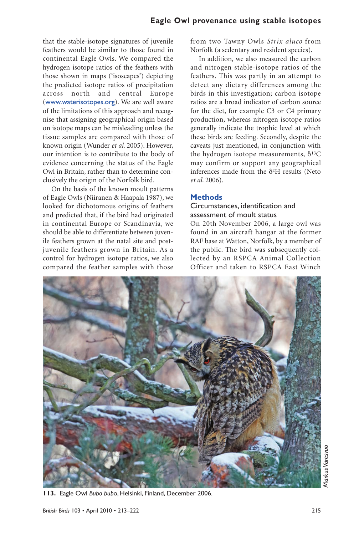that the stable-isotope signatures of juvenile feathers would be similar to those found in continental Eagle Owls. We compared the hydrogen isotope ratios of the feathers with those shown in maps ('isoscapes') depicting the predicted isotope ratios of precipitation across north and central Europe (www.waterisotopes.org). We are well aware of the limitations of this approach and recognise that assigning geographical origin based on isotope maps can be misleading unless the tissue samples are compared with those of known origin (Wunder *et al*. 2005). However, our intention is to contribute to the body of evidence concerning the status of the Eagle Owl in Britain, rather than to determine conclusively the origin of the Norfolk bird.

On the basis of the known moult patterns of Eagle Owls (Niiranen & Haapala 1987), we looked for dichotomous origins of feathers and predicted that, if the bird had originated in continental Europe or Scandinavia, we should be able to differentiate between juvenile feathers grown at the natal site and postjuvenile feathers grown in Britain. As a control for hydrogen isotope ratios, we also compared the feather samples with those from two Tawny Owls *Strix aluco* from Norfolk (a sedentary and resident species).

In addition, we also measured the carbon and nitrogen stable-isotope ratios of the feathers. This was partly in an attempt to detect any dietary differences among the birds in this investigation; carbon isotope ratios are a broad indicator of carbon source for the diet, for example C3 or C4 primary production, whereas nitrogen isotope ratios generally indicate the trophic level at which these birds are feeding. Secondly, despite the caveats just mentioned, in conjunction with the hydrogen isotope measurements,  $\delta^{13}C$ may confirm or support any geographical inferences made from the  $\delta^2 H$  results (Neto *et al*. 2006).

#### **Methods**

#### Circumstances, identification and assessment of moult status

On 20th November 2006, a large owl was found in an aircraft hangar at the former RAF base at Watton, Norfolk, by a member of the public. The bird was subsequently collected by an RSPCA Animal Collection Officer and taken to RSPCA East Winch



Markus Varesvuo *Markus Varesvuo*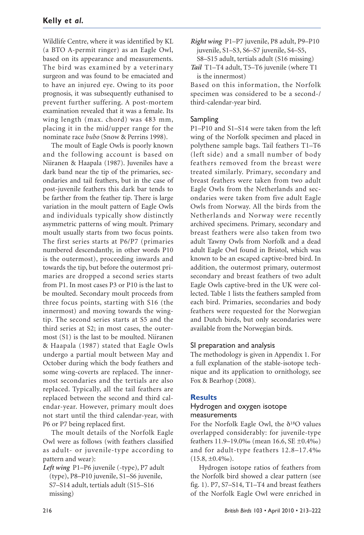Wildlife Centre, where it was identified by KL (a BTO A-permit ringer) as an Eagle Owl, based on its appearance and measurements. The bird was examined by a veterinary surgeon and was found to be emaciated and to have an injured eye. Owing to its poor prognosis, it was subsequently euthanised to prevent further suffering. A post-mortem examination revealed that it was a female. Its wing length (max. chord) was 483 mm, placing it in the mid/upper range for the nominate race *bubo* (Snow & Perrins 1998).

The moult of Eagle Owls is poorly known and the following account is based on Niiranen & Haapala (1987). Juveniles have a dark band near the tip of the primaries, secondaries and tail feathers, but in the case of post-juvenile feathers this dark bar tends to be farther from the feather tip. There is large variation in the moult pattern of Eagle Owls and individuals typically show distinctly asymmetric patterns of wing moult. Primary moult usually starts from two focus points. The first series starts at P6/P7 (primaries numbered descendantly, in other words P10 is the outermost), proceeding inwards and towards the tip, but before the outermost primaries are dropped a second series starts from P1. In most cases P3 or P10 is the last to be moulted. Secondary moult proceeds from three focus points, starting with S16 (the innermost) and moving towards the wingtip. The second series starts at S5 and the third series at S2; in most cases, the outermost (S1) is the last to be moulted. Niiranen & Haapala (1987) stated that Eagle Owls undergo a partial moult between May and October during which the body feathers and some wing-coverts are replaced. The innermost secondaries and the tertials are also replaced. Typically, all the tail feathers are replaced between the second and third calendar-year. However, primary moult does not start until the third calendar-year, with P6 or P7 being replaced first.

The moult details of the Norfolk Eagle Owl were as follows (with feathers classified as adult- or juvenile-type according to pattern and wear):

*Left wing* P1–P6 juvenile (-type), P7 adult (type), P8–P10 juvenile, S1–S6 juvenile, S7–S14 adult, tertials adult (S15–S16 missing)

*Tail* T1–T4 adult, T5–T6 juvenile (where T1

is the innermost) Based on this information, the Norfolk specimen was considered to be a second-/ third-calendar-year bird.

#### Sampling

P1–P10 and S1–S14 were taken from the left wing of the Norfolk specimen and placed in polythene sample bags. Tail feathers T1–T6 (left side) and a small number of body feathers removed from the breast were treated similarly. Primary, secondary and breast feathers were taken from two adult Eagle Owls from the Netherlands and secondaries were taken from five adult Eagle Owls from Norway. All the birds from the Netherlands and Norway were recently archived specimens. Primary, secondary and breast feathers were also taken from two adult Tawny Owls from Norfolk and a dead adult Eagle Owl found in Bristol, which was known to be an escaped captive-bred bird. In addition, the outermost primary, outermost secondary and breast feathers of two adult Eagle Owls captive-bred in the UK were collected. Table 1 lists the feathers sampled from each bird. Primaries, secondaries and body feathers were requested for the Norwegian and Dutch birds, but only secondaries were available from the Norwegian birds.

#### SI preparation and analysis

The methodology is given in Appendix 1. For a full explanation of the stable-isotope technique and its application to ornithology, see Fox & Bearhop (2008).

### **Results**

#### Hydrogen and oxygen isotope measurements

For the Norfolk Eagle Owl, the δ18O values overlapped considerably: for juvenile-type feathers 11.9–19.0‰ (mean 16.6, SE ±0.4‰) and for adult-type feathers 12.8–17.4‰  $(15.8, \pm 0.4\%)$ .

Hydrogen isotope ratios of feathers from the Norfolk bird showed a clear pattern (see fig. 1). P7, S7–S14, T1–T4 and breast feathers of the Norfolk Eagle Owl were enriched in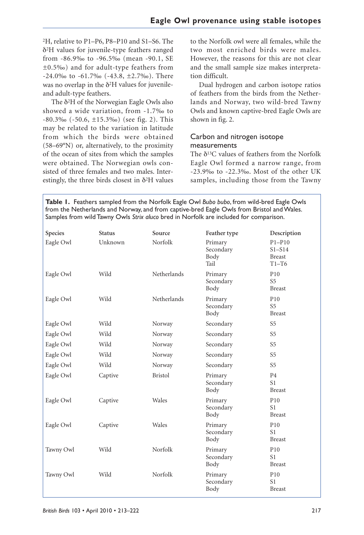2H, relative to P1–P6, P8–P10 and S1–S6. The δ2H values for juvenile-type feathers ranged from -86.9‰ to -96.5‰ (mean -90.1, SE ±0.5‰) and for adult-type feathers from -24.0‰ to -61.7‰ (-43.8, ±2.7‰). There was no overlap in the δ2H values for juvenileand adult-type feathers.

The δ2H of the Norwegian Eagle Owls also showed a wide variation, from -1.7‰ to -80.3‰ (-50.6, ±15.3‰) (see fig. 2). This may be related to the variation in latitude from which the birds were obtained (58–69°N) or, alternatively, to the proximity of the ocean of sites from which the samples were obtained. The Norwegian owls consisted of three females and two males. Interestingly, the three birds closest in  $\delta^2$ H values

to the Norfolk owl were all females, while the two most enriched birds were males. However, the reasons for this are not clear and the small sample size makes interpretation difficult.

Dual hydrogen and carbon isotope ratios of feathers from the birds from the Netherlands and Norway, two wild-bred Tawny Owls and known captive-bred Eagle Owls are shown in fig. 2.

#### Carbon and nitrogen isotope measurements

The  $\delta^{13}$ C values of feathers from the Norfolk Eagle Owl formed a narrow range, from -23.9‰ to -22.3‰. Most of the other UK samples, including those from the Tawny

**Table 1.** Feathers sampled from the Norfolk Eagle Owl *Bubo bubo*, from wild-bred Eagle Owls from the Netherlands and Norway, and from captive-bred Eagle Owls from Bristol and Wales. Samples from wild Tawny Owls *Strix aluco* bred in Norfolk are included for comparison.

| Species   | <b>Status</b> | Source             | Feather type                         | Description                                        |
|-----------|---------------|--------------------|--------------------------------------|----------------------------------------------------|
| Eagle Owl | Unknown       | Norfolk            | Primary<br>Secondary<br>Body<br>Tail | $P1-P10$<br>$S1 - S14$<br><b>Breast</b><br>$T1-T6$ |
| Eagle Owl | Wild          | <b>Netherlands</b> | Primary<br>Secondary<br>Body         | P <sub>10</sub><br><b>S5</b><br><b>Breast</b>      |
| Eagle Owl | Wild          | Netherlands        | Primary<br>Secondary<br>Body         | P10<br>S <sub>5</sub><br><b>Breast</b>             |
| Eagle Owl | Wild          | Norway             | Secondary                            | <b>S5</b>                                          |
| Eagle Owl | Wild          | Norway             | Secondary                            | S <sub>5</sub>                                     |
| Eagle Owl | Wild          | Norway             | Secondary                            | <b>S5</b>                                          |
| Eagle Owl | Wild          | Norway             | Secondary                            | S <sub>5</sub>                                     |
| Eagle Owl | Wild          | Norway             | Secondary                            | <b>S5</b>                                          |
| Eagle Owl | Captive       | <b>Bristol</b>     | Primary<br>Secondary<br>Body         | <b>P4</b><br>S <sub>1</sub><br><b>Breast</b>       |
| Eagle Owl | Captive       | Wales              | Primary<br>Secondary<br>Body         | P <sub>10</sub><br>S1<br><b>Breast</b>             |
| Eagle Owl | Captive       | Wales              | Primary<br>Secondary<br>Body         | P <sub>10</sub><br>S1<br><b>Breast</b>             |
| Tawny Owl | Wild          | Norfolk            | Primary<br>Secondary<br>Body         | P <sub>10</sub><br>S1<br><b>Breast</b>             |
| Tawny Owl | Wild          | Norfolk            | Primary<br>Secondary<br>Body         | P <sub>10</sub><br>S1<br><b>Breast</b>             |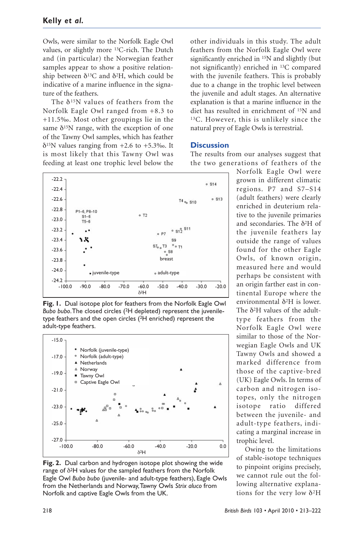Owls, were similar to the Norfolk Eagle Owl values, or slightly more 13C-rich. The Dutch and (in particular) the Norwegian feather samples appear to show a positive relationship between  $δ<sup>13</sup>C$  and  $δ<sup>2</sup>H$ , which could be indicative of a marine influence in the signature of the feathers.

The  $\delta^{15}$ N values of feathers from the Norfolk Eagle Owl ranged from +8.3 to +11.5‰. Most other groupings lie in the same  $\delta^{15}$ N range, with the exception of one of the Tawny Owl samples, which has feather  $\delta$ <sup>15</sup>N values ranging from +2.6 to +5.3‰. It is most likely that this Tawny Owl was feeding at least one trophic level below the



**Fig. 1.** Dual isotope plot for feathers from the Norfolk Eagle Owl *Bubo bubo*. The closed circles (2H depleted) represent the juveniletype feathers and the open circles (2H enriched) represent the adult-type feathers.



**Fig. 2.** Dual carbon and hydrogen isotope plot showing the wide range of δ2H values for the sampled feathers from the Norfolk Eagle Owl *Bubo bubo* (juvenile- and adult-type feathers), Eagle Owls from the Netherlands and Norway, Tawny Owls *Strix aluco* from Norfolk and captive Eagle Owls from the UK.

other individuals in this study. The adult feathers from the Norfolk Eagle Owl were significantly enriched in 15N and slightly (but not significantly) enriched in 13C compared with the juvenile feathers. This is probably due to a change in the trophic level between the juvenile and adult stages. An alternative explanation is that a marine influence in the diet has resulted in enrichment of 15N and 13C. However, this is unlikely since the natural prey of Eagle Owls is terrestrial.

#### **Discussion**

The results from our analyses suggest that the two generations of feathers of the

Norfolk Eagle Owl were grown in different climatic regions. P7 and S7–S14 (adult feathers) were clearly enriched in deuterium relative to the juvenile primaries and secondaries. The δ2H of the juvenile feathers lay outside the range of values found for the other Eagle Owls, of known origin, measured here and would perhaps be consistent with an origin farther east in continental Europe where the environmental δ2H is lower. The δ2H values of the adulttype feathers from the Norfolk Eagle Owl were similar to those of the Norwegian Eagle Owls and UK Tawny Owls and showed a marked difference from those of the captive-bred (UK) Eagle Owls. In terms of carbon and nitrogen isotopes, only the nitrogen isotope ratio differed between the juvenile- and adult-type feathers, indicating a marginal increase in trophic level.

Owing to the limitations of stable-isotope techniques to pinpoint origins precisely, we cannot rule out the following alternative explanations for the very low  $\delta^2$ H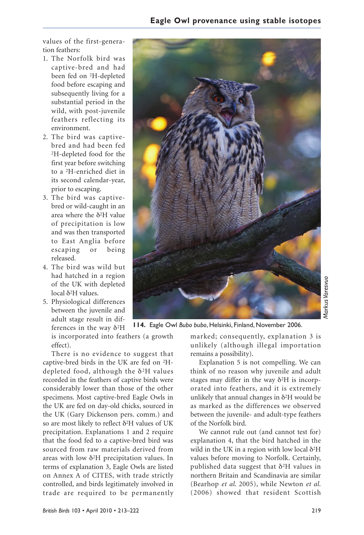values of the first-generation feathers:

- 1. The Norfolk bird was captive-bred and had been fed on 2H-depleted food before escaping and subsequently living for a substantial period in the wild, with post-juvenile feathers reflecting its environment.
- 2. The bird was captivebred and had been fed 2H-depleted food for the first year before switching to a 2H-enriched diet in its second calendar-year, prior to escaping.
- 3. The bird was captivebred or wild-caught in an area where the  $\delta^2$ H value of precipitation is low and was then transported to East Anglia before escaping or being released.
- 4. The bird was wild but had hatched in a region of the UK with depleted local δ2H values.
- 5. Physiological differences between the juvenile and adult stage result in differences in the way δ2H

is incorporated into feathers (a growth effect).

There is no evidence to suggest that captive-bred birds in the UK are fed on 2Hdepleted food, although the δ2H values recorded in the feathers of captive birds were considerably lower than those of the other specimens. Most captive-bred Eagle Owls in the UK are fed on day-old chicks, sourced in the UK (Gary Dickenson pers. comm.) and so are most likely to reflect δ2H values of UK precipitation. Explanations 1 and 2 require that the food fed to a captive-bred bird was sourced from raw materials derived from areas with low  $\delta^2H$  precipitation values. In terms of explanation 3, Eagle Owls are listed on Annex A of CITES, with trade strictly controlled, and birds legitimately involved in trade are required to be permanently



**114.** Eagle Owl *Bubo bubo*, Helsinki, Finland, November 2006.

marked; consequently, explanation 3 is unlikely (although illegal importation remains a possibility).

Explanation 5 is not compelling. We can think of no reason why juvenile and adult stages may differ in the way  $\delta^2H$  is incorporated into feathers, and it is extremely unlikely that annual changes in  $\delta^2H$  would be as marked as the differences we observed between the juvenile- and adult-type feathers of the Norfolk bird.

We cannot rule out (and cannot test for) explanation 4, that the bird hatched in the wild in the UK in a region with low local  $\delta^2$ H values before moving to Norfolk. Certainly, published data suggest that  $\delta^2$ H values in northern Britain and Scandinavia are similar (Bearhop *et al*. 2005), while Newton *et al*. (2006) showed that resident Scottish

*Markus Varesvuo*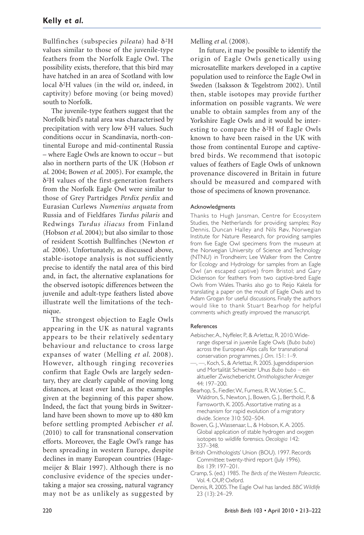Bullfinches (subspecies *pileata*) had δ2H values similar to those of the juvenile-type feathers from the Norfolk Eagle Owl. The possibility exists, therefore, that this bird may have hatched in an area of Scotland with low local δ2H values (in the wild or, indeed, in captivity) before moving (or being moved) south to Norfolk.

The juvenile-type feathers suggest that the Norfolk bird's natal area was characterised by precipitation with very low δ2H values. Such conditions occur in Scandinavia, north-continental Europe and mid-continental Russia – where Eagle Owls are known to occur – but also in northern parts of the UK (Hobson *et al*. 2004; Bowen *et al*. 2005). For example, the δ2H values of the first-generation feathers from the Norfolk Eagle Owl were similar to those of Grey Partridges *Perdix perdix* and Eurasian Curlews *Numenius arquata* from Russia and of Fieldfares *Turdus pilaris* and Redwings *Turdus iliacus* from Finland (Hobson *et al*. 2004); but also similar to those of resident Scottish Bullfinches (Newton *et al*. 2006). Unfortunately, as discussed above, stable-isotope analysis is not sufficiently precise to identify the natal area of this bird and, in fact, the alternative explanations for the observed isotopic differences between the juvenile and adult-type feathers listed above illustrate well the limitations of the technique.

The strongest objection to Eagle Owls appearing in the UK as natural vagrants appears to be their relatively sedentary behaviour and reluctance to cross large expanses of water (Melling *et al*. 2008). However, although ringing recoveries confirm that Eagle Owls are largely sedentary, they are clearly capable of moving long distances, at least over land, as the examples given at the beginning of this paper show. Indeed, the fact that young birds in Switzerland have been shown to move up to 480 km before settling prompted Aebischer *et al*. (2010) to call for transnational conservation efforts. Moreover, the Eagle Owl's range has been spreading in western Europe, despite declines in many European countries (Hagemeijer & Blair 1997). Although there is no conclusive evidence of the species undertaking a major sea crossing, natural vagrancy may not be as unlikely as suggested by Melling *et al*. (2008).

In future, it may be possible to identify the origin of Eagle Owls genetically using microsatellite markers developed in a captive population used to reinforce the Eagle Owl in Sweden (Isaksson & Tegelstrom 2002). Until then, stable isotopes may provide further information on possible vagrants. We were unable to obtain samples from any of the Yorkshire Eagle Owls and it would be interesting to compare the  $\delta^2$ H of Eagle Owls known to have been raised in the UK with those from continental Europe and captivebred birds. We recommend that isotopic values of feathers of Eagle Owls of unknown provenance discovered in Britain in future should be measured and compared with those of specimens of known provenance.

#### Acknowledgments

Thanks to Hugh Jansman, Centre for Ecosystem Studies, the Netherlands for providing samples; Roy Dennis, Duncan Halley and Nils Røv, Norwegian Institute for Nature Research, for providing samples from five Eagle Owl specimens from the museum at the Norwegian University of Science and Technology (NTNU) in Trondheim; Lee Walker from the Centre for Ecology and Hydrology for samples from an Eagle Owl (an escaped captive) from Bristol; and Gary Dickenson for feathers from two captive-bred Eagle Owls from Wales. Thanks also go to Reijo Kakela for translating a paper on the moult of Eagle Owls and to Adam Grogan for useful discussions. Finally the authors would like to thank Stuart Bearhop for helpful comments which greatly improved the manuscript.

#### References

- Aebischer, A., Nyffeler, P., & Arlettaz, R. 2010. Widerange dispersal in juvenile Eagle Owls (*Bubo bubo*) across the European Alps calls for transnational conservation programmes. *J. Orn*. 151: 1–9.
- —, —, Koch, S., & Arlettaz, R. 2005. Jugenddispersion und Mortalität Schweizer Uhus *Bubo bubo* – ein aktueller Zwischebericht. *Ornithologischer Anzeiger* 44: 197–200.
- Bearhop, S., Fiedler, W., Furness, R. W., Votier, S. C., Waldron, S., Newton, J., Bowen, G. J., Berthold, P., & Farnsworth, K. 2005. Assortative mating as a mechanism for rapid evolution of a migratory divide. *Science* 310: 502–504.
- Bowen, G. J., Wassenaar, L., & Hobson, K. A. 2005. Global application of stable hydrogen and oxygen isotopes to wildlife forensics. *Oecologia* 142: 337–348.
- British Ornithologists' Union (BOU). 1997. Records Committee: twenty-third report (July 1996). *Ibis* 139: 197–201.
- Cramp, S. (ed.) 1985. *The Birds of the Western Palearctic*. Vol. 4. OUP, Oxford.
- Dennis, R. 2005. The Eagle Owl has landed. *BBC Wildlife* 23 (13): 24–29.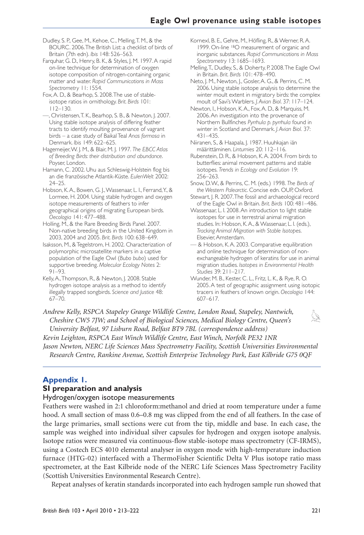Dudley, S. P., Gee, M., Kehoe, C., Melling, T. M., & the BOURC. 2006. The British List: a checklist of birds of Britain (7th edn). *Ibis* 148: 526–563.

Farquhar, G. D., Henry, B. K., & Styles, J. M. 1997. A rapid on-line technique for determination of oxygen isotope composition of nitrogen-containing organic matter and water. *Rapid Communications in Mass Spectrometry* 11: 1554.

Fox, A. D., & Bearhop, S. 2008. The use of stableisotope ratios in ornithology. *Brit. Birds* 101: 112–130.

—, Christensen, T. K., Bearhop, S. B., & Newton, J. 2007. Using stable isotope analysis of differing feather tracts to identify moulting provenance of vagrant birds – a case study of Baikal Teal *Anas formosa* in Denmark. *Ibis* 149: 622–625.

Hagemeijer, W. J. M., & Blair, M. J. 1997. *The EBCC Atlas of Breeding Birds: their distribution and abundance*. Poyser, London.

Hamann, C. 2002. Uhu aus Schleswig-Holstein flog bis an die französische Atlantik-Küste. *EulenWelt* 2002: 24–25.

Hobson, K. A., Bowen, G. J., Wassenaar, L. I., Ferrand, Y., & Lormee, H. 2004. Using stable hydrogen and oxygen isotope measurements of feathers to infer geographical origins of migrating European birds. *Oecologia* 141: 477–488.

Holling, M., & the Rare Breeding Birds Panel. 2007. Non-native breeding birds in the United Kingdom in 2003, 2004 and 2005. *Brit. Birds* 100: 638–649.

Isaksson, M., & Tegelstrom, H. 2002. Characterization of polymorphic microsatellite markers in a captive population of the Eagle Owl (*Bubo bubo*) used for supportive breeding. *Molecular Ecology Notes* 2: 91–93.

Kelly, A., Thompson, R., & Newton, J. 2008. Stable hydrogen isotope analysis as a method to identify illegally trapped songbirds. *Science and Justice* 48:  $67 - 70.$ 

Kornexl, B. E., Gehre, M., Höfling, R., & Werner, R. A. 1999. On-line 18O measurement of organic and inorganic substances. *Rapid Communications in Mass Spectrometry* 13: 1685–1693.

Melling, T., Dudley, S., & Doherty, P. 2008. The Eagle Owl in Britain. *Brit. Birds* 101: 478–490.

Neto, J. M., Newton, J., Gosler, A. G., & Perrins, C. M. 2006. Using stable isotope analysis to determine the winter moult extent in migratory birds: the complex moult of Savi's Warblers. *J. Avian Biol*. 37: 117–124.

Newton, I., Hobson, K. A., Fox, A. D., & Marquiss, M. 2006. An investigation into the provenance of Northern Bullfinches *Pyrrhula p. pyrrhula* found in winter in Scotland and Denmark. *J. Avian Biol.* 37: 431–435.

Niiranen, S., & Haapala, J. 1987. Huuhkajan iän määrittäminen. *Lintumies* 20: 112–116.

Rubenstein, D. R., & Hobson, K. A. 2004. From birds to butterflies: animal movement patterns and stable isotopes. *Trends in Ecology and Evolution* 19: 256–263.

Snow, D. W., & Perrins, C. M. (eds.) 1998. *The Birds of the Western Palearctic*. Concise edn. OUP, Oxford.

Stewart, J. R. 2007. The fossil and archaeological record of the Eagle Owl in Britain. *Brit. Birds* 100: 481–486.

Wassenaar, L. I. 2008. An introduction to light stable isotopes for use in terrestrial animal migration studies. In: Hobson, K. A., & Wassenaar, L. I. (eds.), *Tracking Animal Migration with Stable Isotopes*. Elsevier, Amsterdam.

— & Hobson, K. A. 2003. Comparative equilibration and online technique for determination of nonexchangeable hydrogen of keratins for use in animal migration studies. *Isotopes in Environmental Health Studies* 39: 211–217.

Wunder, M. B., Kester, C. L., Fritz, L. K., & Rye, R. O. 2005. A test of geographic assignment using isotopic tracers in feathers of known origin. *Oecologia* 144: 607–617.

*Andrew Kelly, RSPCA Stapeley Grange Wildlife Centre, London Road, Stapeley, Nantwich, Cheshire CW5 7JW; and School of Biological Sciences, Medical Biology Centre, Queen's University Belfast, 97 Lisburn Road, Belfast BT9 7BL (correspondence address) Kevin Leighton, RSPCA East Winch Wildlife Centre, East Winch, Norfolk PE32 1NR Jason Newton, NERC Life Sciences Mass Spectrometry Facility, Scottish Universities Environmental Research Centre, Rankine Avenue, Scottish Enterprise Technology Park, East Kilbride G75 0QF*

## **Appendix 1.**

#### **SI preparation and analysis**

Hydrogen/oxygen isotope measurements

Feathers were washed in 2:1 chloroform:methanol and dried at room temperature under a fume hood. A small section of mass  $0.6-0.8$  mg was clipped from the end of all feathers. In the case of the large primaries, small sections were cut from the tip, middle and base. In each case, the sample was weighed into individual silver capsules for hydrogen and oxygen isotope analysis. Isotope ratios were measured via continuous-flow stable-isotope mass spectrometry (CF-IRMS), using a Costech ECS 4010 elemental analyser in oxygen mode with high-temperature induction furnace (HTG-02) interfaced with a ThermoFisher Scientific Delta V Plus isotope ratio mass spectrometer, at the East Kilbride node of the NERC Life Sciences Mass Spectrometry Facility (Scottish Universities Environmental Research Centre).

Repeat analyses of keratin standards incorporated into each hydrogen sample run showed that